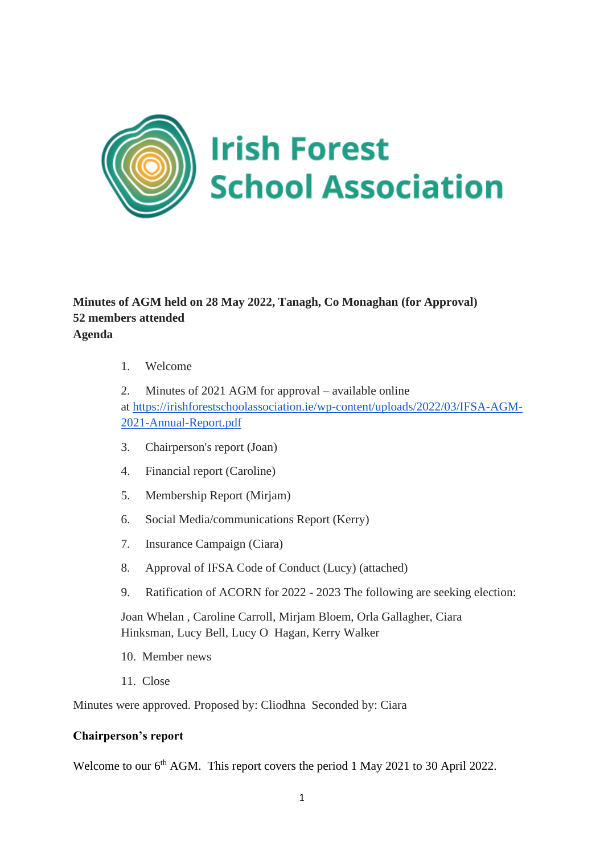

# **Minutes of AGM held on 28 May 2022, Tanagh, Co Monaghan (for Approval) 52 members attended Agenda**

1. Welcome

2. Minutes of 2021 AGM for approval – available online at [https://irishforestschoolassociation.ie/wp-content/uploads/2022/03/IFSA-AGM-](https://irishforestschoolassociation.ie/wp-content/uploads/2022/03/IFSA-AGM-2021-Annual-Report.pdf)[2021-Annual-Report.pdf](https://irishforestschoolassociation.ie/wp-content/uploads/2022/03/IFSA-AGM-2021-Annual-Report.pdf)

- 3. Chairperson's report (Joan)
- 4. Financial report (Caroline)
- 5. Membership Report (Mirjam)
- 6. Social Media/communications Report (Kerry)
- 7. Insurance Campaign (Ciara)
- 8. Approval of IFSA Code of Conduct (Lucy) (attached)
- 9. Ratification of ACORN for 2022 2023 The following are seeking election:

Joan Whelan , Caroline Carroll, Mirjam Bloem, Orla Gallagher, Ciara Hinksman, Lucy Bell, Lucy O Hagan, Kerry Walker

- 10. Member news
- 11. Close

Minutes were approved. Proposed by: Cliodhna Seconded by: Ciara

### **Chairperson's report**

Welcome to our 6<sup>th</sup> AGM. This report covers the period 1 May 2021 to 30 April 2022.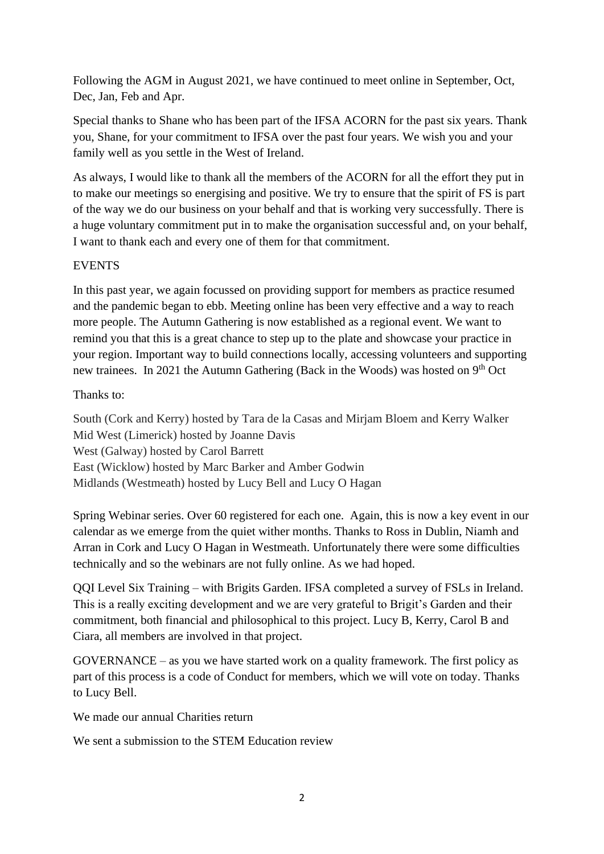Following the AGM in August 2021, we have continued to meet online in September, Oct, Dec, Jan, Feb and Apr.

Special thanks to Shane who has been part of the IFSA ACORN for the past six years. Thank you, Shane, for your commitment to IFSA over the past four years. We wish you and your family well as you settle in the West of Ireland.

As always, I would like to thank all the members of the ACORN for all the effort they put in to make our meetings so energising and positive. We try to ensure that the spirit of FS is part of the way we do our business on your behalf and that is working very successfully. There is a huge voluntary commitment put in to make the organisation successful and, on your behalf, I want to thank each and every one of them for that commitment.

### **EVENTS**

In this past year, we again focussed on providing support for members as practice resumed and the pandemic began to ebb. Meeting online has been very effective and a way to reach more people. The Autumn Gathering is now established as a regional event. We want to remind you that this is a great chance to step up to the plate and showcase your practice in your region. Important way to build connections locally, accessing volunteers and supporting new trainees. In 2021 the Autumn Gathering (Back in the Woods) was hosted on  $9<sup>th</sup>$  Oct

### Thanks to:

South (Cork and Kerry) hosted by Tara de la Casas and Mirjam Bloem and Kerry Walker Mid West (Limerick) hosted by Joanne Davis West (Galway) hosted by Carol Barrett East (Wicklow) hosted by Marc Barker and Amber Godwin Midlands (Westmeath) hosted by Lucy Bell and Lucy O Hagan

Spring Webinar series. Over 60 registered for each one. Again, this is now a key event in our calendar as we emerge from the quiet wither months. Thanks to Ross in Dublin, Niamh and Arran in Cork and Lucy O Hagan in Westmeath. Unfortunately there were some difficulties technically and so the webinars are not fully online. As we had hoped.

QQI Level Six Training – with Brigits Garden. IFSA completed a survey of FSLs in Ireland. This is a really exciting development and we are very grateful to Brigit's Garden and their commitment, both financial and philosophical to this project. Lucy B, Kerry, Carol B and Ciara, all members are involved in that project.

GOVERNANCE – as you we have started work on a quality framework. The first policy as part of this process is a code of Conduct for members, which we will vote on today. Thanks to Lucy Bell.

We made our annual Charities return

We sent a submission to the STEM Education review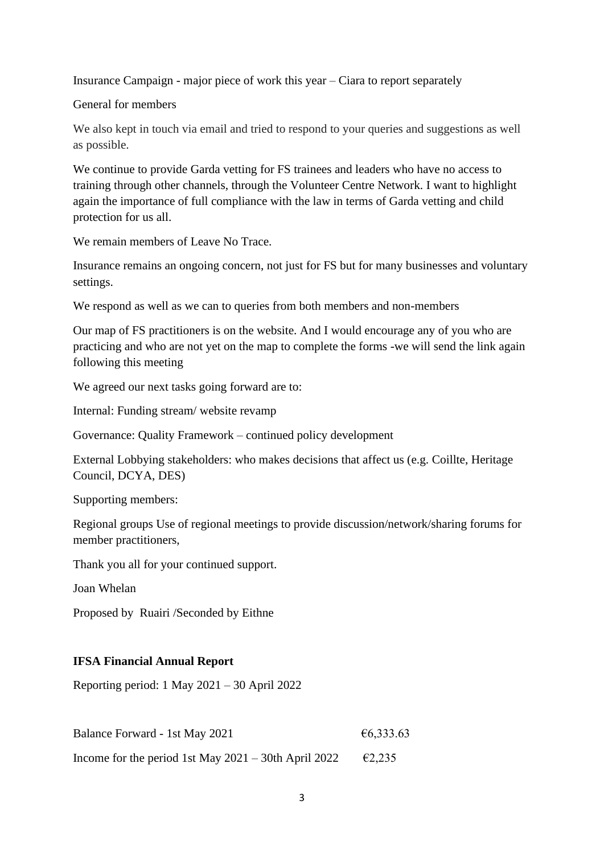Insurance Campaign - major piece of work this year – Ciara to report separately

General for members

We also kept in touch via email and tried to respond to your queries and suggestions as well as possible.

We continue to provide Garda vetting for FS trainees and leaders who have no access to training through other channels, through the Volunteer Centre Network. I want to highlight again the importance of full compliance with the law in terms of Garda vetting and child protection for us all.

We remain members of Leave No Trace.

Insurance remains an ongoing concern, not just for FS but for many businesses and voluntary settings.

We respond as well as we can to queries from both members and non-members

Our map of FS practitioners is on the website. And I would encourage any of you who are practicing and who are not yet on the map to complete the forms -we will send the link again following this meeting

We agreed our next tasks going forward are to:

Internal: Funding stream/ website revamp

Governance: Quality Framework – continued policy development

External Lobbying stakeholders: who makes decisions that affect us (e.g. Coillte, Heritage Council, DCYA, DES)

Supporting members:

Regional groups Use of regional meetings to provide discussion/network/sharing forums for member practitioners,

Thank you all for your continued support.

Joan Whelan

Proposed by Ruairi /Seconded by Eithne

### **IFSA Financial Annual Report**

Reporting period: 1 May 2021 – 30 April 2022

| Balance Forward - 1st May 2021                          | €6,333.63 |
|---------------------------------------------------------|-----------|
| Income for the period 1st May $2021 - 30$ th April 2022 | E2,235    |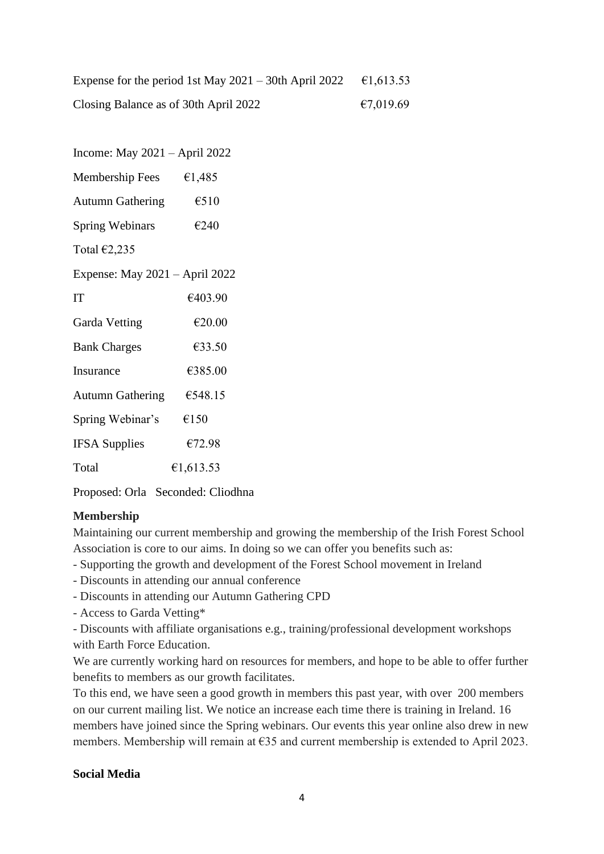Expense for the period 1st May 2021 – 30th April 2022  $\epsilon$ 1,613.53 Closing Balance as of 30th April 2022  $\epsilon$  7,019.69

Income: May 2021 – April 2022 Membership Fees  $\epsilon$ 1,485 Autumn Gathering  $6510$ Spring Webinars  $\epsilon$ 240 Total €2,235 Expense: May 2021 – April 2022 IT  $\epsilon$ 403.90 Garda Vetting  $\epsilon$ 20.00 Bank Charges  $\epsilon$ 33.50 Insurance  $\epsilon$ 385.00 Autumn Gathering €548.15 Spring Webinar's  $\epsilon$ 150 IFSA Supplies  $\epsilon$ 72.98 Total  $\epsilon$ 1.613.53

Proposed: Orla Seconded: Cliodhna

# **Membership**

Maintaining our current membership and growing the membership of the Irish Forest School Association is core to our aims. In doing so we can offer you benefits such as:

- Supporting the growth and development of the Forest School movement in Ireland
- Discounts in attending our annual conference
- Discounts in attending our Autumn Gathering CPD
- Access to Garda Vetting\*

- Discounts with affiliate organisations e.g., training/professional development workshops with Earth Force Education.

We are currently working hard on resources for members, and hope to be able to offer further benefits to members as our growth facilitates.

To this end, we have seen a good growth in members this past year, with over 200 members on our current mailing list. We notice an increase each time there is training in Ireland. 16 members have joined since the Spring webinars. Our events this year online also drew in new members. Membership will remain at €35 and current membership is extended to April 2023.

### **Social Media**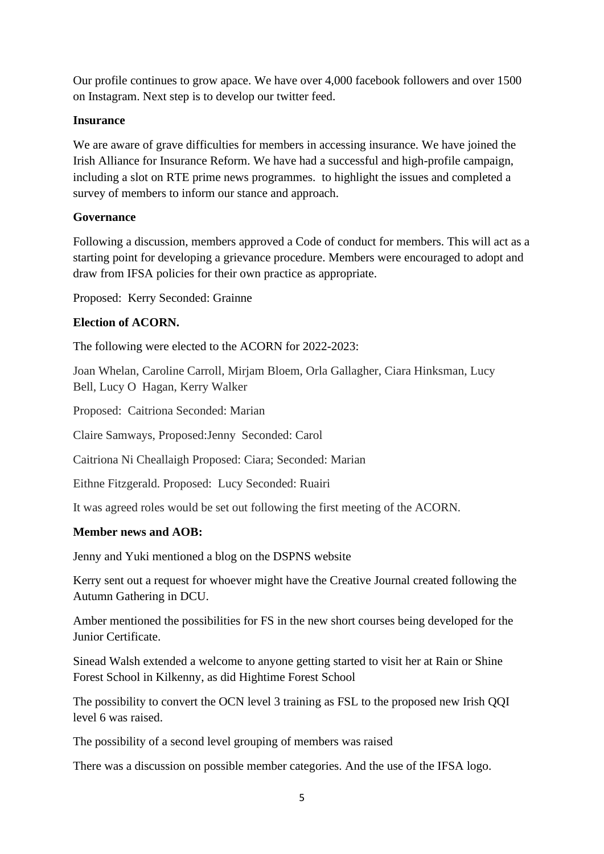Our profile continues to grow apace. We have over 4,000 facebook followers and over 1500 on Instagram. Next step is to develop our twitter feed.

#### **Insurance**

We are aware of grave difficulties for members in accessing insurance. We have joined the Irish Alliance for Insurance Reform. We have had a successful and high-profile campaign, including a slot on RTE prime news programmes. to highlight the issues and completed a survey of members to inform our stance and approach.

### **Governance**

Following a discussion, members approved a Code of conduct for members. This will act as a starting point for developing a grievance procedure. Members were encouraged to adopt and draw from IFSA policies for their own practice as appropriate.

Proposed: Kerry Seconded: Grainne

### **Election of ACORN.**

The following were elected to the ACORN for 2022-2023:

Joan Whelan, Caroline Carroll, Mirjam Bloem, Orla Gallagher, Ciara Hinksman, Lucy Bell, Lucy O Hagan, Kerry Walker

Proposed: Caitriona Seconded: Marian

Claire Samways, Proposed:Jenny Seconded: Carol

Caitriona Ni Cheallaigh Proposed: Ciara; Seconded: Marian

Eithne Fitzgerald. Proposed: Lucy Seconded: Ruairi

It was agreed roles would be set out following the first meeting of the ACORN.

#### **Member news and AOB:**

Jenny and Yuki mentioned a blog on the DSPNS website

Kerry sent out a request for whoever might have the Creative Journal created following the Autumn Gathering in DCU.

Amber mentioned the possibilities for FS in the new short courses being developed for the Junior Certificate.

Sinead Walsh extended a welcome to anyone getting started to visit her at Rain or Shine Forest School in Kilkenny, as did Hightime Forest School

The possibility to convert the OCN level 3 training as FSL to the proposed new Irish QQI level 6 was raised.

The possibility of a second level grouping of members was raised

There was a discussion on possible member categories. And the use of the IFSA logo.